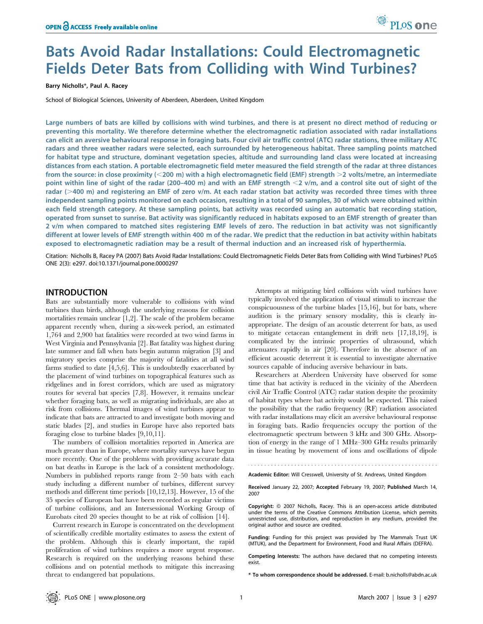# Bats Avoid Radar Installations: Could Electromagnetic Fields Deter Bats from Colliding with Wind Turbines?

Barry Nicholls\*, Paul A. Racey

School of Biological Sciences, University of Aberdeen, Aberdeen, United Kingdom

Large numbers of bats are killed by collisions with wind turbines, and there is at present no direct method of reducing or preventing this mortality. We therefore determine whether the electromagnetic radiation associated with radar installations can elicit an aversive behavioural response in foraging bats. Four civil air traffic control (ATC) radar stations, three military ATC radars and three weather radars were selected, each surrounded by heterogeneous habitat. Three sampling points matched for habitat type and structure, dominant vegetation species, altitude and surrounding land class were located at increasing distances from each station. A portable electromagnetic field meter measured the field strength of the radar at three distances from the source: in close proximity (<200 m) with a high electromagnetic field (EMF) strength  $>$ 2 volts/metre, an intermediate point within line of sight of the radar (200–400 m) and with an EMF strength  $\leq$  v/m, and a control site out of sight of the radar ( $>400$  m) and registering an EMF of zero v/m. At each radar station bat activity was recorded three times with three independent sampling points monitored on each occasion, resulting in a total of 90 samples, 30 of which were obtained within each field strength category. At these sampling points, bat activity was recorded using an automatic bat recording station, operated from sunset to sunrise. Bat activity was significantly reduced in habitats exposed to an EMF strength of greater than 2 v/m when compared to matched sites registering EMF levels of zero. The reduction in bat activity was not significantly different at lower levels of EMF strength within 400 m of the radar. We predict that the reduction in bat activity within habitats exposed to electromagnetic radiation may be a result of thermal induction and an increased risk of hyperthermia.

Citation: Nicholls B, Racey PA (2007) Bats Avoid Radar Installations: Could Electromagnetic Fields Deter Bats from Colliding with Wind Turbines? PLoS ONE 2(3): e297. doi:10.1371/journal.pone.0000297

# INTRODUCTION

Bats are substantially more vulnerable to collisions with wind turbines than birds, although the underlying reasons for collision mortalities remain unclear [1,2]. The scale of the problem became apparent recently when, during a six-week period, an estimated 1,764 and 2,900 bat fatalities were recorded at two wind farms in West Virginia and Pennsylvania [2]. Bat fatality was highest during late summer and fall when bats begin autumn migration [3] and migratory species comprise the majority of fatalities at all wind farms studied to date [4,5,6]. This is undoubtedly exacerbated by the placement of wind turbines on topographical features such as ridgelines and in forest corridors, which are used as migratory routes for several bat species [7,8]. However, it remains unclear whether foraging bats, as well as migrating individuals, are also at risk from collisions. Thermal images of wind turbines appear to indicate that bats are attracted to and investigate both moving and static blades [2], and studies in Europe have also reported bats foraging close to turbine blades [9,10,11].

The numbers of collision mortalities reported in America are much greater than in Europe, where mortality surveys have begun more recently. One of the problems with providing accurate data on bat deaths in Europe is the lack of a consistent methodology. Numbers in published reports range from 2–50 bats with each study including a different number of turbines, different survey methods and different time periods [10,12,13]. However, 15 of the 35 species of European bat have been recorded as regular victims of turbine collisions, and an Intersessional Working Group of Eurobats cited 20 species thought to be at risk of collision [14].

Current research in Europe is concentrated on the development of scientifically credible mortality estimates to assess the extent of the problem. Although this is clearly important, the rapid proliferation of wind turbines requires a more urgent response. Research is required on the underlying reasons behind these collisions and on potential methods to mitigate this increasing threat to endangered bat populations.

Attempts at mitigating bird collisions with wind turbines have typically involved the application of visual stimuli to increase the conspicuousness of the turbine blades [15,16], but for bats, where audition is the primary sensory modality, this is clearly inappropriate. The design of an acoustic deterrent for bats, as used to mitigate cetacean entanglement in drift nets [17,18,19], is complicated by the intrinsic properties of ultrasound, which attenuates rapidly in air [20]. Therefore in the absence of an efficient acoustic deterrent it is essential to investigate alternative sources capable of inducing aversive behaviour in bats.

PLoS one

Researchers at Aberdeen University have observed for some time that bat activity is reduced in the vicinity of the Aberdeen civil Air Traffic Control (ATC) radar station despite the proximity of habitat types where bat activity would be expected. This raised the possibility that the radio frequency (RF) radiation associated with radar installations may elicit an aversive behavioural response in foraging bats. Radio frequencies occupy the portion of the electromagnetic spectrum between 3 kHz and 300 GHz. Absorption of energy in the range of 1 MHz–300 GHz results primarily in tissue heating by movement of ions and oscillations of dipole

Academic Editor: Will Cresswell, University of St. Andrews, United Kingdom

Received January 22, 2007; Accepted February 19, 2007; Published March 14, 2007

Copyright: @ 2007 Nicholls, Racey. This is an open-access article distributed under the terms of the Creative Commons Attribution License, which permits unrestricted use, distribution, and reproduction in any medium, provided the original author and source are credited.

Funding: Funding for this project was provided by The Mammals Trust UK (MTUK), and the Department for Environment, Food and Rural Affairs (DEFRA).

Competing Interests: The authors have declared that no competing interests exist.

\* To whom correspondence should be addressed. E-mail: b.nicholls@abdn.ac.uk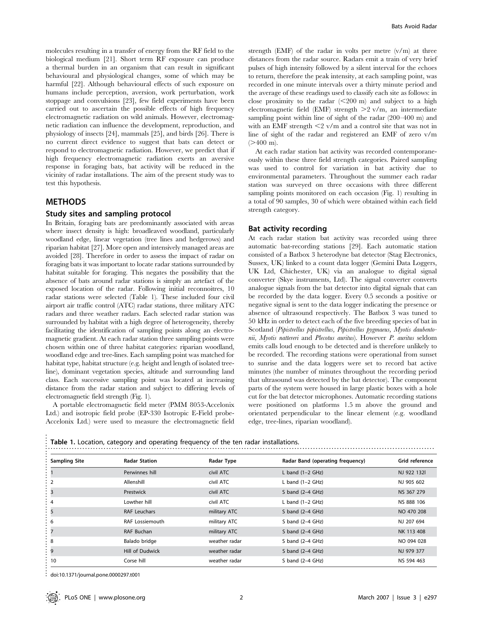molecules resulting in a transfer of energy from the RF field to the biological medium [21]. Short term RF exposure can produce a thermal burden in an organism that can result in significant behavioural and physiological changes, some of which may be harmful [22]. Although behavioural effects of such exposure on humans include perception, aversion, work perturbation, work stoppage and convulsions [23], few field experiments have been carried out to ascertain the possible effects of high frequency electromagnetic radiation on wild animals. However, electromagnetic radiation can influence the development, reproduction, and physiology of insects [24], mammals [25], and birds [26]. There is no current direct evidence to suggest that bats can detect or respond to electromagnetic radiation. However, we predict that if high frequency electromagnetic radiation exerts an aversive response in foraging bats, bat activity will be reduced in the vicinity of radar installations. The aim of the present study was to test this hypothesis.

# METHODS

#### Study sites and sampling protocol

In Britain, foraging bats are predominantly associated with areas where insect density is high: broadleaved woodland, particularly woodland edge, linear vegetation (tree lines and hedgerows) and riparian habitat [27]. More open and intensively managed areas are avoided [28]. Therefore in order to assess the impact of radar on foraging bats it was important to locate radar stations surrounded by habitat suitable for foraging. This negates the possibility that the absence of bats around radar stations is simply an artefact of the exposed location of the radar. Following initial reconnoitres, 10 radar stations were selected (Table 1). These included four civil airport air traffic control (ATC) radar stations, three military ATC radars and three weather radars. Each selected radar station was surrounded by habitat with a high degree of heterogeneity, thereby facilitating the identification of sampling points along an electromagnetic gradient. At each radar station three sampling points were chosen within one of three habitat categories: riparian woodland, woodland edge and tree-lines. Each sampling point was matched for habitat type, habitat structure (e.g. height and length of isolated treeline), dominant vegetation species, altitude and surrounding land class. Each successive sampling point was located at increasing distance from the radar station and subject to differing levels of electromagnetic field strength (Fig. 1).

A portable electromagnetic field meter (PMM 8053-Accelonix Ltd.) and isotropic field probe (EP-330 Isotropic E-Field probe-Accelonix Ltd.) were used to measure the electromagnetic field strength (EMF) of the radar in volts per metre  $(v/m)$  at three distances from the radar source. Radars emit a train of very brief pulses of high intensity followed by a silent interval for the echoes to return, therefore the peak intensity, at each sampling point, was recorded in one minute intervals over a thirty minute period and the average of these readings used to classify each site as follows: in close proximity to the radar  $\leq 200$  m) and subject to a high electromagnetic field (EMF) strength  $>2$  v/m, an intermediate sampling point within line of sight of the radar (200–400 m) and with an EMF strength  $\leq$  v/m and a control site that was not in line of sight of the radar and registered an EMF of zero v/m  $(>400 \text{ m}).$ 

At each radar station bat activity was recorded contemporaneously within these three field strength categories. Paired sampling was used to control for variation in bat activity due to environmental parameters. Throughout the summer each radar station was surveyed on three occasions with three different sampling points monitored on each occasion (Fig. 1) resulting in a total of 90 samples, 30 of which were obtained within each field strength category.

### Bat activity recording

At each radar station bat activity was recorded using three automatic bat-recording stations [29]. Each automatic station consisted of a Batbox 3 heterodyne bat detector (Stag Electronics, Sussex, UK) linked to a count data logger (Gemini Data Loggers, UK Ltd, Chichester, UK) via an analogue to digital signal converter (Skye instruments, Ltd). The signal converter converts analogue signals from the bat detector into digital signals that can be recorded by the data logger. Every 0.5 seconds a positive or negative signal is sent to the data logger indicating the presence or absence of ultrasound respectively. The Batbox 3 was tuned to 50 kHz in order to detect each of the five breeding species of bat in Scotland (Pipistrellus pipistrellus, Pipistrellus pygmaeus, Myotis daubentonii, Myotis nattereri and Plecotus auritus). However P. auritus seldom emits calls loud enough to be detected and is therefore unlikely to be recorded. The recording stations were operational from sunset to sunrise and the data loggers were set to record bat active minutes (the number of minutes throughout the recording period that ultrasound was detected by the bat detector). The component parts of the system were housed in large plastic boxes with a hole cut for the bat detector microphones. Automatic recording stations were positioned on platforms 1.5 m above the ground and orientated perpendicular to the linear element (e.g. woodland edge, tree-lines, riparian woodland).

| <b>Sampling Site</b> | <b>Radar Station</b>   | Radar Type    | Radar Band (operating frequency) | Grid reference |
|----------------------|------------------------|---------------|----------------------------------|----------------|
|                      | Perwinnes hill         | civil ATC     | L band $(1-2 \text{ GHz})$       | NJ 922 1321    |
|                      | Allenshill             | civil ATC     | L band $(1-2$ GHz)               | NJ 905 602     |
| 3                    | Prestwick              | civil ATC     | S band $(2-4$ GHz)               | NS 367 279     |
| 4                    | Lowther hill           | civil ATC     | L band $(1-2 \text{ GHz})$       | NS 888 106     |
| 5                    | <b>RAF Leuchars</b>    | military ATC  | S band $(2-4$ GHz)               | NO 470 208     |
| 6                    | <b>RAF Lossiemouth</b> | military ATC  | S band (2-4 GHz)                 | NJ 207 694     |
| 7                    | RAF Buchan             | military ATC  | S band $(2-4$ GHz)               | NK 113 408     |
| 8                    | Balado bridge          | weather radar | S band $(2-4$ GHz)               | NO 094 028     |
| 9                    | Hill of Dudwick        | weather radar | S band $(2-4$ GHz)               | NJ 979 377     |
| 10                   | Corse hill             | weather radar | S band (2-4 GHz)                 | NS 594 463     |

doi:10.1371/journal.pone.0000297.t001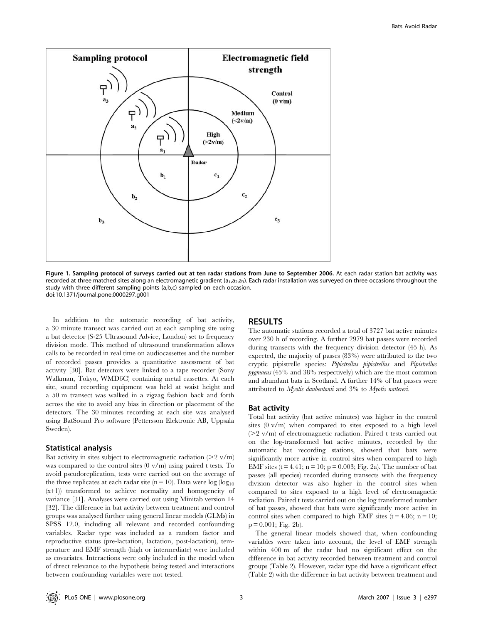

Figure 1. Sampling protocol of surveys carried out at ten radar stations from June to September 2006. At each radar station bat activity was recorded at three matched sites along an electromagnetic gradient ( $a_1$ , $a_2$ , $a_3$ ). Each radar installation was surveyed on three occasions throughout the study with three different sampling points (a,b,c) sampled on each occasion. doi:10.1371/journal.pone.0000297.g001

In addition to the automatic recording of bat activity, a 30 minute transect was carried out at each sampling site using a bat detector (S-25 Ultrasound Advice, London) set to frequency division mode. This method of ultrasound transformation allows calls to be recorded in real time on audiocassettes and the number of recorded passes provides a quantitative assessment of bat activity [30]. Bat detectors were linked to a tape recorder (Sony Walkman, Tokyo, WMD6C) containing metal cassettes. At each site, sound recording equipment was held at waist height and a 50 m transect was walked in a zigzag fashion back and forth across the site to avoid any bias in direction or placement of the detectors. The 30 minutes recording at each site was analysed using BatSound Pro software (Pettersson Elektronic AB, Uppsala Sweden).

#### Statistical analysis

Bat activity in sites subject to electromagnetic radiation  $(2 v/m)$ was compared to the control sites (0 v/m) using paired t tests. To avoid pseudoreplication, tests were carried out on the average of the three replicates at each radar site ( $n = 10$ ). Data were  $log log_{10}$ (x*+*1)) transformed to achieve normality and homogeneity of variance [31]. Analyses were carried out using Minitab version 14 [32]. The difference in bat activity between treatment and control groups was analysed further using general linear models (GLMs) in SPSS 12.0, including all relevant and recorded confounding variables. Radar type was included as a random factor and reproductive status (pre-lactation, lactation, post-lactation), temperature and EMF strength (high or intermediate) were included as covariates. Interactions were only included in the model when of direct relevance to the hypothesis being tested and interactions between confounding variables were not tested.

# RESULTS

The automatic stations recorded a total of 3727 bat active minutes over 230 h of recording. A further 2979 bat passes were recorded during transects with the frequency division detector (45 h). As expected, the majority of passes (83%) were attributed to the two cryptic pipistrelle species: Pipistrellus pipistrellus and Pipistrellus pygmaeus (45% and 38% respectively) which are the most common and abundant bats in Scotland. A further 14% of bat passes were attributed to Myotis daubentonii and 3% to Myotis nattereri.

#### Bat activity

Total bat activity (bat active minutes) was higher in the control sites  $(0 \text{ v/m})$  when compared to sites exposed to a high level  $(>= 2$  v/m) of electromagnetic radiation. Paired t tests carried out on the log-transformed bat active minutes, recorded by the automatic bat recording stations, showed that bats were significantly more active in control sites when compared to high EMF sites  $(t = 4.41; n = 10; p = 0.003; Fig. 2a)$ . The number of bat passes (all species) recorded during transects with the frequency division detector was also higher in the control sites when compared to sites exposed to a high level of electromagnetic radiation. Paired t tests carried out on the log transformed number of bat passes, showed that bats were significantly more active in control sites when compared to high EMF sites  $(t = 4.86; n = 10;$  $p = 0.001$ ; Fig. 2b).

The general linear models showed that, when confounding variables were taken into account, the level of EMF strength within 400 m of the radar had no significant effect on the difference in bat activity recorded between treatment and control groups (Table 2). However, radar type did have a significant effect (Table 2) with the difference in bat activity between treatment and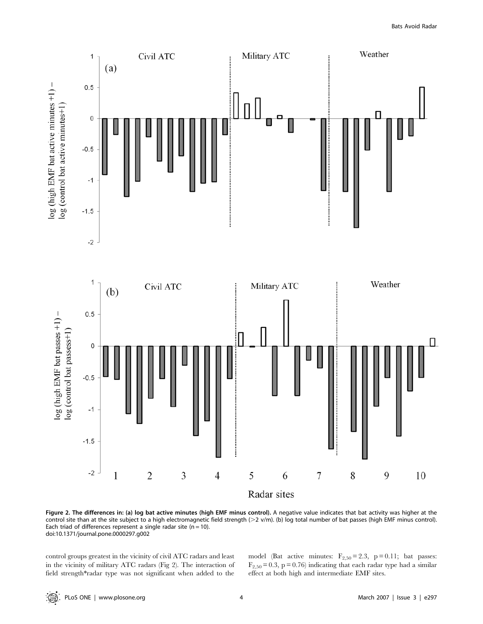

Figure 2. The differences in: (a) log bat active minutes (high EMF minus control). A negative value indicates that bat activity was higher at the control site than at the site subject to a high electromagnetic field strength (>2 v/m). (b) log total number of bat passes (high EMF minus control). Each triad of differences represent a single radar site ( $n = 10$ ). doi:10.1371/journal.pone.0000297.g002

control groups greatest in the vicinity of civil ATC radars and least in the vicinity of military ATC radars (Fig 2). The interaction of field strength\*radar type was not significant when added to the model (Bat active minutes:  $F_{2,50} = 2.3$ ,  $p = 0.11$ ; bat passes:  $F_{2,50} = 0.3$ , p = 0.76) indicating that each radar type had a similar effect at both high and intermediate EMF sites.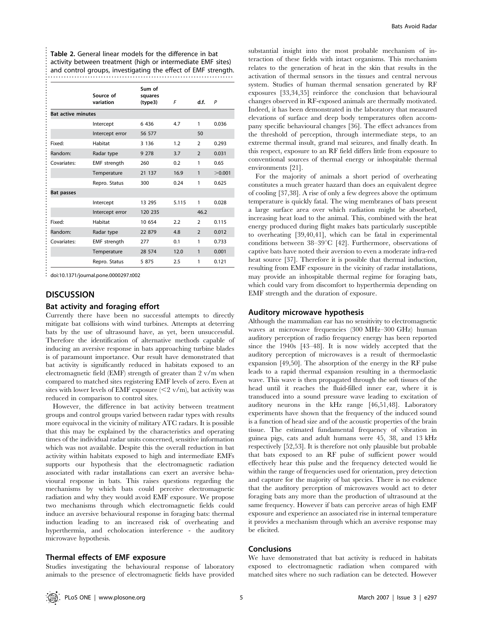|                           | Source of           | Sum of             |       |                |              |
|---------------------------|---------------------|--------------------|-------|----------------|--------------|
|                           | variation           | squares<br>(type3) | F     | d.f.           | $\mathsf{P}$ |
| <b>Bat active minutes</b> |                     |                    |       |                |              |
|                           | Intercept           | 6 4 3 6            | 4.7   | 1              | 0.036        |
|                           | Intercept error     | 56 577             |       | 50             |              |
| Fixed:                    | Habitat             | 3 1 3 6            | 1.2   | $\mathcal{P}$  | 0.293        |
| Random:                   | Radar type          | 9 2 7 8            | 3.7   | $\overline{2}$ | 0.031        |
| Covariates:               | <b>EMF</b> strength | 260                | 0.2   | 1              | 0.65         |
|                           | Temperature         | 21 137             | 16.9  | $\mathbf{1}$   | >0.001       |
|                           | Repro. Status       | 300                | 0.24  | 1              | 0.625        |
| <b>Bat passes</b>         |                     |                    |       |                |              |
|                           | Intercept           | 13 295             | 5.115 | 1              | 0.028        |
|                           | Intercept error     | 120 235            |       | 46.2           |              |
| Fixed:                    | Habitat             | 10 654             | 2.2   | $\overline{2}$ | 0.115        |
| Random:                   | Radar type          | 22 879             | 4.8   | $\overline{2}$ | 0.012        |
| Covariates:               | <b>EMF</b> strength | 277                | 0.1   | 1              | 0.733        |
|                           | Temperature         | 28 574             | 12.0  | $\mathbf{1}$   | 0.001        |
|                           | Repro. Status       | 5 875              | 2.5   | 1              | 0.121        |

.<br>: doi:10.1371/journal.pone.0000297.t002

# **DISCUSSION**

#### Bat activity and foraging effort

Currently there have been no successful attempts to directly mitigate bat collisions with wind turbines. Attempts at deterring bats by the use of ultrasound have, as yet, been unsuccessful. Therefore the identification of alternative methods capable of inducing an aversive response in bats approaching turbine blades is of paramount importance. Our result have demonstrated that bat activity is significantly reduced in habitats exposed to an electromagnetic field (EMF) strength of greater than 2 v/m when compared to matched sites registering EMF levels of zero. Even at sites with lower levels of EMF exposure  $(< 2 v/m)$ , bat activity was reduced in comparison to control sites.

However, the difference in bat activity between treatment groups and control groups varied between radar types with results more equivocal in the vicinity of military ATC radars. It is possible that this may be explained by the characteristics and operating times of the individual radar units concerned, sensitive information which was not available. Despite this the overall reduction in bat activity within habitats exposed to high and intermediate EMFs supports our hypothesis that the electromagnetic radiation associated with radar installations can exert an aversive behavioural response in bats. This raises questions regarding the mechanisms by which bats could perceive electromagnetic radiation and why they would avoid EMF exposure. We propose two mechanisms through which electromagnetic fields could induce an aversive behavioural response in foraging bats: thermal induction leading to an increased risk of overheating and hyperthermia, and echolocation interference - the auditory microwave hypothesis.

## Thermal effects of EMF exposure

Studies investigating the behavioural response of laboratory animals to the presence of electromagnetic fields have provided substantial insight into the most probable mechanism of interaction of these fields with intact organisms. This mechanism relates to the generation of heat in the skin that results in the activation of thermal sensors in the tissues and central nervous system. Studies of human thermal sensation generated by RF exposures [33,34,35] reinforce the conclusion that behavioural changes observed in RF-exposed animals are thermally motivated. Indeed, it has been demonstrated in the laboratory that measured elevations of surface and deep body temperatures often accompany specific behavioural changes [36]. The effect advances from the threshold of perception, through intermediate steps, to an extreme thermal insult, grand mal seizures, and finally death. In this respect, exposure to an RF field differs little from exposure to conventional sources of thermal energy or inhospitable thermal environments [21].

For the majority of animals a short period of overheating constitutes a much greater hazard than does an equivalent degree of cooling [37,38]. A rise of only a few degrees above the optimum temperature is quickly fatal. The wing membranes of bats present a large surface area over which radiation might be absorbed, increasing heat load to the animal. This, combined with the heat energy produced during flight makes bats particularly susceptible to overheating [39,40,41], which can be fatal in experimental conditions between 38–39<sup>°</sup>C [42]. Furthermore, observations of captive bats have noted their aversion to even a moderate infra-red heat source [37]. Therefore it is possible that thermal induction, resulting from EMF exposure in the vicinity of radar installations, may provide an inhospitable thermal regime for foraging bats, which could vary from discomfort to hyperthermia depending on EMF strength and the duration of exposure.

#### Auditory microwave hypothesis

Although the mammalian ear has no sensitivity to electromagnetic waves at microwave frequencies (300 MHz–300 GHz) human auditory perception of radio frequency energy has been reported since the 1940s [43–48]. It is now widely accepted that the auditory perception of microwaves is a result of thermoelastic expansion [49,50]. The absorption of the energy in the RF pulse leads to a rapid thermal expansion resulting in a thermoelastic wave. This wave is then propagated through the soft tissues of the head until it reaches the fluid-filled inner ear, where it is transduced into a sound pressure wave leading to excitation of auditory neurons in the kHz range [46,51,48]. Laboratory experiments have shown that the frequency of the induced sound is a function of head size and of the acoustic properties of the brain tissue. The estimated fundamental frequency of vibration in guinea pigs, cats and adult humans were 45, 38, and 13 kHz respectively [52,53]. It is therefore not only plausible but probable that bats exposed to an RF pulse of sufficient power would effectively hear this pulse and the frequency detected would lie within the range of frequencies used for orientation, prey detection and capture for the majority of bat species. There is no evidence that the auditory perception of microwaves would act to deter foraging bats any more than the production of ultrasound at the same frequency. However if bats can perceive areas of high EMF exposure and experience an associated rise in internal temperature it provides a mechanism through which an aversive response may be elicited.

#### **Conclusions**

We have demonstrated that bat activity is reduced in habitats exposed to electromagnetic radiation when compared with matched sites where no such radiation can be detected. However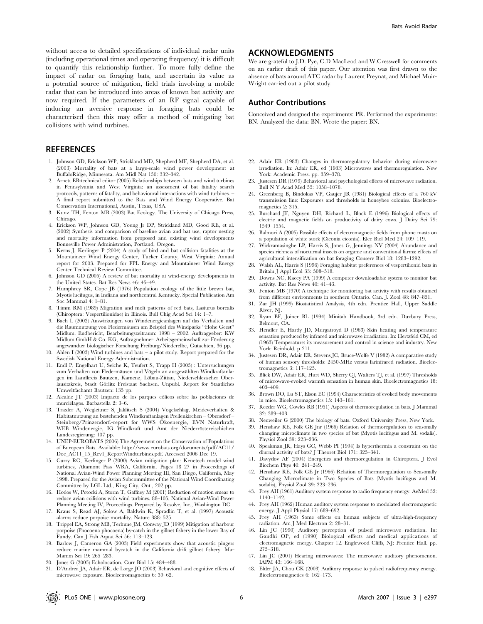without access to detailed specifications of individual radar units (including operational times and operating frequency) it is difficult to quantify this relationship further. To more fully define the impact of radar on foraging bats, and ascertain its value as a potential source of mitigation, field trials involving a mobile radar that can be introduced into areas of known bat activity are now required. If the parameters of an RF signal capable of inducing an aversive response in foraging bats could be characterised then this may offer a method of mitigating bat collisions with wind turbines.

# **REFERENCES**

- 1. Johnson GD, Erickson WP, Strickland MD, Shepherd MF, Shepherd DA, et al. (2003) Mortality of bats at a large-scale wind power development at BuffaloRidge, Minnesota. Am Midl Nat 150: 332–342.
- 2. Arnett EB-technical editor (2005) Relationships between bats and wind turbines in Pennsylvania and West Virginia: an assessment of bat fatality search protocols, patterns of fatality, and behavioural interactions with wind turbines. – A final report submitted to the Bats and Wind Energy Cooperative. Bat Conservation International, Austin, Texas, USA.
- 3. Kunz TH, Fenton MB (2003) Bat Ecology. The University of Chicago Press, Chicago.
- 4. Erickson WP, Johnson GD, Young Jr DP, Strickland MD, Good RE, et al. (2002) Synthesis and comparison of baseline avian and bat use, raptor nesting and mortality information from proposed and existing wind developments Bonneville Power Administration, Portland, Oregon.
- 5. Kerns J, Kerlinger P (2004) A study of bird and bat collision fatalities at the Mountaineer Wind Energy Center, Tucker County, West Virginia: Annual report for 2003. Prepared for FPL Energy and Mountaineer Wind Energy Center Technical Review Committee.
- 6. Johnson GD (2005) A review of bat mortality at wind-energy developments in the United States. Bat Res News 46: 45–49.
- 7. Humphrey SR, Cope JB (1976) Population ecology of the little brown bat, Myotis lucifugus, in Indiana and northcentral Kentucky. Special Publication Am Soc Mammal 4: 1–81.
- 8. Timm RM (1989) Migration and molt patterns of red bats, Lasiurus borealis (Chiroptera: Vespertilionidae) in Illinois. Bull Chig Acad Sci 14: 1–7.
- 9. Bach L (2002) Auswirkungen von Windenergieanlagen auf das Verhalten und die Raumnutzung von Fledermäusen am Beispiel des Windparks "Hohe Geest" Midlum. Endbericht, Bearbeitungszeitraum: 1998 – 2002. Auftraggeber: KW Midlum GmbH & Co. KG, Auftragnehmer: Arbeitsgemeinschaft zur Förderung angewandter biologischer Forschung Freiburg/Niederelbe, Gutachten, 36 pp.
- 10. Ahlén I (2003) Wind turbines and bats a pilot study. Report prepared for the Swedish National Energy Administration.
- 11. Endl P, Engelhart U, Seiche K, Teufert S, Trapp H (2005) : Untersuchungen zum Verhalten von Fledermäusen und Vögeln an ausgewählten Windkraftanlagen im Landkreis Bautzen, Kamenz, Löbau-Zittau, Niederschlesischer Oberlausitzkreis, Stadt Görlitz Freistaat Sachsen. Unpubl. Report for Staatliches Umweltfachamt Bautzen: 135 pp.
- 12. Alcalde JT (2003) Impacto de los parques eólicos sobre las poblaciones de murciélagos. Barbastella 2: 3-6.
- 13. Traxler A, Wegleitner S, Jaklitsch S (2004) Vogelschlag, Meideverhalten & Habitatnutzung an bestehenden Windkraftanlagen Prellenkirchen – Obersdorf – Steinberg/Prinzendorf.-report for WWS Okoenergie, EVN Naturkraft, WEB Windenergie, IG Windkraft und Amt der Niederröstereischichen Landesregierung: 107 pp.
- 14. UNEP-EUROBATS (2006) The Agreement on the Conservation of Populations of European Bats. Available: http://www.eurobats.org/documents/pdf/AC11/ Doc\_AC11\_15\_Rev1\_ReportWindturbines.pdf. Accessed 2006 Dec 19.
- 15. Curry RC, Kerlinger P (2000) Avian mitigation plan: Kenetech model wind turbines, Altamont Pass WRA, California. Pages 18–27 in Proceedings of National Avian-Wind Power Planning Meeting III, San Diego, California, May 1998. Prepared for the Avian Subcommittee of the National Wind Coordinating Committee by LGL Ltd., King City, Ont., 202 pp.
- 16. Hodos W, Potocki A, Storm T, Gaffney M (2001) Reduction of motion smear to reduce avian collisions with wind turbines. 88–105, National Avian-Wind Power Planning Meeting IV, Proceedings. Prepared by Resolve, Inc., Washington DC.
- 17. Kraus S, Read AJ, Solow A, Baldwin K, Spradlin T, et al. (1997) Acoustic alarms reduce porpoise mortality. Nature 388: 525.
- 18. Trippel EA, Strong MB, Terhune JM, Conway JD (1999) Mitigation of harbour porpoise (Phocoena phocoena) by-catch in the gillnet fishery in the lower Bay of Fundy. Can J Fish Aquat Sci 56: 113–123.
- 19. Barlow J, Cameron GA (2003) Field experiments show that acoustic pingers reduce marine mammal bycatch in the California drift gillnet fishery. Mar Mamm Sci 19: 265–283.
- 20. Jones G (2005) Echolocation. Curr Biol 15: 484–488.
- 21. D'Andrea JA, Adair ER, de Lorge JO (2003) Behavioral and cognitive effects of microwave exposure. Bioelectromagnetics 6: 39–62.

## ACKNOWLEDGMENTS

We are grateful to J.D. Pye, C.D MacLeod and W.Cresswell for comments on an earlier draft of this paper. Our attention was first drawn to the absence of bats around ATC radar by Laurent Preynat, and Michael Muir-Wright carried out a pilot study.

### Author Contributions

Conceived and designed the experiments: PR. Performed the experiments: BN. Analyzed the data: BN. Wrote the paper: BN.

- 22. Adair ER (1983) Changes in thermoregulatory behavior during microwave irradiation. In: Adair ER, ed (1983) Microwaves and thermoregulation. New York: Academic Press. pp. 359–378.
- 23. Justesen DR (1979) Behavioral and psychological effects of microwave radiation. Bull N Y Acad Med 55: 1058–1078.
- 24. Greenberg B, Bindokas VP, Gaujer JR (1981) Biological effects of a 760 kV transmission line: Exposures and thresholds in honeybee colonies. Bioelectromagnetics 2: 315.
- 25. Burchard JF, Nguyen DH, Richard L, Block E (1996) Biological effects of electric and magnetic fields on productivity of dairy cows. J Dairy Sci 79: 1549–1554.
- 26. Balmori A (2005) Possible effects of electromagnetic fields from phone masts on a population of white stork (Ciconia ciconia). Elec Biol Med 24: 109–119.
- 27. Wickramasinghe LP, Harris S, Jones G, Jennings NV (2004) Abundance and species richness of nocturnal insects on organic and conventional farms: effects of agricultural intensification on bat foraging Conserv Biol 18: 1283–1292.
- 28. Walsh AL, Harris S (1996) Foraging habitat preferences of vespertilionid bats in Britain J Appl Ecol 33: 508–518.
- 29. Downs NC, Racey PA (1999) A computer downloadable system to monitor bat activity. Bat Res News 40: 41–43.
- 30. Fenton MB (1970) A technique for monitoring bat activity with results obtained from different environments in southern Ontario. Can. J. Zool 48: 847–851.
- 31. Zar JH (1999) Biostatistical Analysis, 4th edn. Prentice Hall, Upper Saddle River, NJ.
- 32. Ryan BF, Joiner BL (1994) Minitab Handbook, 3rd edn. Duxbury Press, Belmont, CA.
- 33. Hendler E, Hardy JD, Murgatroyd D (1963) Skin heating and temperature sensation produced by infrared and microwave irradiation. In: Hertzfeld CM, ed (1963) Temperature: its measurement and control in science and industry. New York: Reinhold. p 211.
- 34. Justesen DR, Adair ER, Stevens JC, Bruce-Wolfe V (1982) A comparative study of human sensory thresholds: 2450-MHz versus farinfrared radiation. Bioelectromagnetics 3: 117–125.
- 35. Blick DW, Adair ER, Hurt WD, Sherry CJ, Walters TJ, et al. (1997) Thresholds of microwave-evoked warmth sensation in human skin. Bioelectromagnetics 18: 403–409.
- 36. Brown DO, Lu ST, Elson EC (1994) Characteristics of evoked body movements in mice. Bioelectromagnetics 15: 143–161.
- 37. Reeder WG, Cowles RB (1951) Aspects of thermoregulation in bats. J Mammal 32: 389–403.
- 38. Neuweiler G (2000) The biology of bats. Oxford University Press, New York.
- 39. Henshaw RE, Folk GE Jnr (1966) Relation of thermoregulation to seasonally changing microclimate in two species of bat (Myotis lucifugus and M. sodalis). Physiol Zool 39: 223–236.
- 40. Speakman JR, Hays GC, Webb PI (1994) Is hyperthermia a constraint on the diurnal activity of bats? J Theoret Biol 171: 325–341.
- 41. Davydov AF (2004) Energetics and thermoregulation in Chiroptera. J Evol Biochem Phys 40: 241–249.
- 42. Henshaw RE, Folk GE Jr (1966) Relation of Thermoregulation to Seasonally Changing Microclimate in Two Species of Bats (Myotis lucifugus and M. sodalis), Physiol Zool 39: 223–236.
- 43. Frey AH (1961) Auditory system response to radio frequency energy. AeMed 32: 1140–1142.
- 44. Frey AH (1962) Human auditory system response to modulated electromagnetic energy. J Appl Physiol 17: 689–692.
- 45. Frey AH (1963) Some effects on human subjects of ultra-high-frequency radiation. Am J Med Electron 2: 28–31.
- 46. Lin JC (1990) Auditory perception of pulsed microwave radiation. In: Gandhi OP, ed (1990) Biological effects and medical applications of electromagnetic energy. Chapter 12. Englewood Cliffs, NJ: Prentice Hall. pp. 275–318.
- 47. Lin JC (2001) Hearing microwaves: The microwave auditory phenomenon. IAPM 43: 166–168.
- 48. Elder JA, Chou CK (2003) Auditory response to pulsed radiofrequency energy. Bioelectromagnetics 6: 162–173.